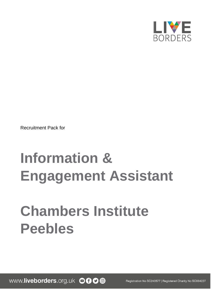

Recruitment Pack for

# **Information & Engagement Assistant**

# **Chambers Institute Peebles**

www.liveborders.org.uk OOO@

Registration No SC243577 | Registered Charity No SC034227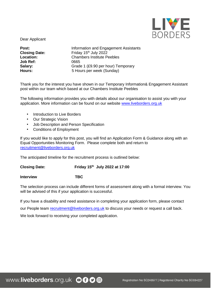

Dear Applicant

**Job Ref:** 0665

**Post: Post: Information and Engagement Assistants**<br>**Closing Date: Information and Engagement Assistants Closing Date:** Friday 15<sup>th</sup> July 2022<br> **Location:** Chambers Institute Pe **Location:** Chambers Institute Peebles **Salary:** Grade 1 (£9.90 per hour) Temporary **Hours:** 5 Hours per week (Sunday)

Thank you for the interest you have shown in our Temporary Information& Engagement Assistant post within our team which based at our Chambers Institute Peebles

The following information provides you with details about our organisation to assist you with your application. More information can be found on our website [www.liveborders.org.uk](http://www.liveborders.org.uk/)

- Introduction to Live Borders
- Our Strategic Vision
- Job Description and Person Specification
- Conditions of Employment

If you would like to apply for this post, you will find an Application Form & Guidance along with an Equal Opportunities Monitoring Form. Please complete both and return to recruitment@liveborders.org.uk

The anticipated timeline for the recruitment process is outlined below:

**Closing Date: Friday 15th July 2022 at 17:00**

**Interview TBC**

The selection process can include different forms of assessment along with a formal interview. You will be advised of this if your application is successful.

If you have a disability and need assistance in completing your application form, please contact

our People team recruitment@liveborders.org.uk to discuss your needs or request a call back.

We look forward to receiving your completed application.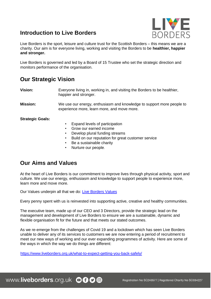## **Introduction to Live Borders**



Live Borders is the sport, leisure and culture trust for the Scottish Borders – this means we are a charity. Our aim is for everyone living, working and visiting the Borders to be **healthier, happier and stronger.**

Live Borders is governed and led by a Board of 15 Trustee who set the strategic direction and monitors performance of the organisation.

## **Our Strategic Vision**

**Vision:** Everyone living in, working in, and visiting the Borders to be healthier, happier and stronger.

**Mission:** We use our energy, enthusiasm and knowledge to support more people to experience more, learn more, and move more.

**Strategic Goals:** 

- Expand levels of participation
- Grow our earned income
- Develop plural funding streams
- Build on our reputation for great customer service
- Be a sustainable charity
- Nurture our people.

### **Our Aims and Values**

At the heart of Live Borders is our commitment to improve lives through physical activity, sport and culture. We use our energy, enthusiasm and knowledge to support people to experience more, learn more and move more.

Our Values underpin all that we do[:](https://www.liveborders.org.uk/values/) [Live Borders Values](https://www.liveborders.org.uk/values/)

Every penny spent with us is reinvested into supporting active, creative and healthy communities.

The executive team, made up of our CEO and 3 Directors, provide the strategic lead on the management and development of Live Borders to ensure we are a sustainable, dynamic and flexible organisation fit for the future and that meets our stated outcomes.

As we re-emerge from the challenges of Covid 19 and a lockdown which has seen Live Borders unable to deliver any of its services to customers we are now entering a period of recruitment to meet our new ways of working and our ever expanding programmes of activity. Here are some of the ways in which the way we do things are different:

<https://www.liveborders.org.uk/what-to-expect-getting-you-back-safely/>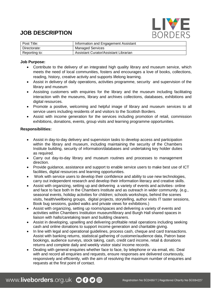## **JOB DESCRIPTION**



| Post Title:   | Information and Engagement Assistant  |
|---------------|---------------------------------------|
| Directorate:  | <b>Managed Services</b>               |
| Reporting to: | Assistant Curator/Assistant Librarian |

#### **Job Purpose:**

- Contribute to the delivery of an integrated high quality library and museum service, which meets the need of local communities, fosters and encourages a love of books, collections, reading, history, creative activity and supports lifelong learning.
- Assist in delivery of daily operations, activities programme, security and supervision of the library and museum
- Assisting customers with enquiries for the library and the museum including facilitating interaction with the museums, library and archives collections, databases, exhibitions and digital resources.
- Promote a positive, welcoming and helpful image of library and museum services to all service users including residents of and visitors to the Scottish Borders.
- Assist with income generation for the services including promotion of retail, commission exhibitions, donations, events, group visits and learning programme opportunities.

#### **Responsibilities:**

- Assist in day-to-day delivery and supervision tasks to develop access and participation within the library and museum, including maintaining the security of the Chambers Institute building, security of information/databases and undertaking key holder duties as required.
- Carry out day-to-day library and museum routines and processes to management direction.
- Provide guidance, assistance and support to enable service users to make best use of ICT facilities, digital resources and learning opportunities.
- Work with service users to develop their confidence and ability to use new technologies, carry out independent research and develop their information literacy and creative skills.
- Assist with organizing, setting up and delivering a variety of events and activities- online and face to face both In the Chambers Institute and as outreach in wider community. (e.g., seasonal events, holiday activities for children; schools workshops, behind the scenes visits, health/wellbeing groups, digital projects, storytelling, author visits IT taster sessions, Book bug sessions, guided walks and private views for exhibitions.)
- Assist with organizing, setting up rooms/spaces and delivering a variety of events and activities within Chambers Institution museum/library and Burgh Hall shared spaces in liaison with halls/caretaking team and building cleaners.
- Assist in developing, upselling and delivering profitable retail operations including seeking cash and online donations to support income generation and charitable giving.
- In line with legal and operational guidelines, process cash, cheque and card transactions. Assist with banking returns, statistical gathering of customer/audience data, Patron base bookings, audience surveys, stock taking, cash, credit card income, retail & donations returns and complete daily and weekly visitor stats/ income records.
- Dealing with general enquiries whether face to face, by telephone or via email, etc. Deal with and record all enquiries and requests, ensure responses are delivered courteously, responsively and efficiently, with the aim of resolving the maximum number of enquiries and requests at the first point of contact.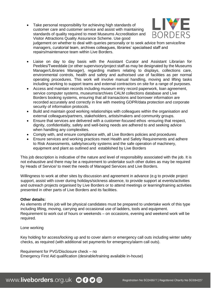Take personal responsibility for achieving high standards of customer care and customer service and assist with maintaining standards of quality required to meet Museums Accreditation and Visitor Attractions Quality Assurance Scheme. Use good



judgement on whether to deal with queries personally or to seek advice from service/line managers, curatorial team, archives colleagues, libraries' specialised staff and repairs/maintenance team within Live Borders.

- Liaise on day to day basis with the Assistant Curator and Assistant Librarian for Peebles/Tweeddale (or other supervisory/project staff as may be designated by the Museums Manager/Libraries Manager), regarding matters relating to displays, collections care, environmental controls, health and safety and authorised use of facilities as per normal operating procedures. This work will involve manual handling, moving and lifting tasks including working to support teams and external contractors on site for a range of purposes.
- Access and maintain records including museum entry record paperwork, loan agreement, service computer systems, museums/archives CALM collections database and Live Borders booking systems, ensuring that all transactions and borrower information are recorded accurately and correctly in line with meeting GDPR/data protection and corporate security of information protocols.
- Build and maintain good working relationships with colleagues within the organisation and external colleagues/partners, stakeholders, artists/makers and community groups.
- Ensure that services are delivered with a customer-focused ethos -ensuring that respect, dignity, confidentiality, safety and well-being needs are adhered to and seeking advice when handling any complexities.
- Comply with, and ensure compliance with, all Live Borders policies and procedures
- Ensure services and working practices meet Health and Safety Requirements and adhere to Risk Assessments, safety/security systems and the safe operation of machinery, equipment and plant as outlined and established by Live Borders

This job description is indicative of the nature and level of responsibility associated with the job. It is not exhaustive and there may be a requirement to undertake such other duties as may be required by Heads of Service/ to meet the needs of Managed Services and Live Borders.

Willingness to work at other sites by discussion and agreement in advance (e.g to provide project support, assist with cover during holidays/sickness absence, to provide support at events/activities and outreach projects organised by Live Borders or to attend meetings or learning/training activities presented in other parts of Live Borders and its facilities.

#### **Other details:**

As elements of this job will be physical candidates must be prepared to undertake work of this type including lifting, moving, carrying and occasional use of ladders, tools and equipment. Requirement to work out of hours or weekends – on occasions, evening and weekend work will be required.

#### Lone working

Key holding for access/locking up and to cover alarm or emergency call outs including winter safety checks, as required (with additional set payments for emergency/alarm call outs).

Requirement for PVG/Disclosure check – no Emergency First Aid qualification (desirable/training available in-house)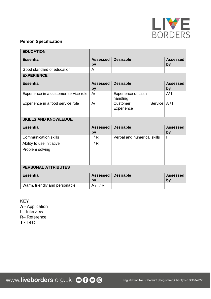

#### **Person Specification**

| <b>EDUCATION</b>                      |                       |                                         |                       |  |
|---------------------------------------|-----------------------|-----------------------------------------|-----------------------|--|
| <b>Essential</b>                      | <b>Assessed</b><br>by | <b>Desirable</b>                        | <b>Assessed</b><br>by |  |
| Good standard of education            | A                     |                                         |                       |  |
| <b>EXPERIENCE</b>                     |                       |                                         |                       |  |
| <b>Essential</b>                      | <b>Assessed</b><br>by | <b>Desirable</b>                        | <b>Assessed</b><br>by |  |
| Experience in a customer service role | A/I                   | Experience of cash<br>handling          | A/I                   |  |
| Experience in a food service role     | A/I                   | Service   A/I<br>Customer<br>Experience |                       |  |
| <b>SKILLS AND KNOWLEDGE</b>           |                       |                                         |                       |  |
| <b>Essential</b>                      | <b>Assessed</b><br>by | <b>Desirable</b>                        | <b>Assessed</b><br>by |  |
| <b>Communication skills</b>           | 1/R                   | Verbal and numerical skills             |                       |  |
| Ability to use initiative             | 1/R                   |                                         |                       |  |
| Problem solving                       | I                     |                                         |                       |  |
|                                       |                       |                                         |                       |  |
| <b>PERSONAL ATTRIBUTES</b>            |                       |                                         |                       |  |
| <b>Essential</b>                      | <b>Assessed</b><br>by | <b>Desirable</b>                        | <b>Assessed</b><br>by |  |
| Warm, friendly and personable         | A/IA                  |                                         |                       |  |

**KEY** 

**A** - Application

**I** – Interview

**R**– Reference

**T** - Test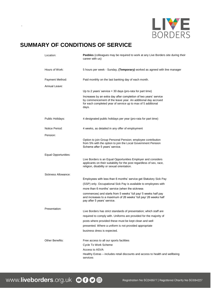

### **SUMMARY OF CONDITIONS OF SERVICE**

.

| Location:            | Peebles (colleagues may be required to work at any Live Borders site during their<br>career with us)                                                                                                      |
|----------------------|-----------------------------------------------------------------------------------------------------------------------------------------------------------------------------------------------------------|
| Hours of Work:       | 5 hours per week - Sunday, (Temporary) worked as agreed with line manager                                                                                                                                 |
| Payment Method:      | Paid monthly on the last banking day of each month.                                                                                                                                                       |
| Annual Leave:        |                                                                                                                                                                                                           |
|                      | Up to 2 years' service $=$ 30 days (pro-rata for part time)                                                                                                                                               |
|                      | Increases by an extra day after completion of two years' service<br>by commencement of the leave year. An additional day accrued<br>for each completed year of service up to max of 5 additional<br>days. |
| Public Holidays:     | 4 designated public holidays per year (pro-rata for part time)                                                                                                                                            |
| Notice Period:       | 4 weeks, as detailed in any offer of employment                                                                                                                                                           |
| Pension:             |                                                                                                                                                                                                           |
|                      | Option to join Group Personal Pension; employee contribution<br>from 5% with the option to join the Local Government Pension<br>Scheme after 5 years' service.                                            |
| Equal Opportunities: |                                                                                                                                                                                                           |
|                      | Live Borders is an Equal Opportunities Employer and considers<br>applicants on their suitability for the post regardless of sex, race,<br>religion, disability or sexual orientation.                     |
| Sickness Allowance:  |                                                                                                                                                                                                           |
|                      | Employees with less than 6 months' service get Statutory Sick Pay                                                                                                                                         |
|                      | (SSP) only. Occupational Sick Pay is available to employees with                                                                                                                                          |
|                      | more than 6 months' service (when the sickness                                                                                                                                                            |
|                      | commences) and starts from 5 weeks' full pay/ 5 weeks half pay<br>and increases to a maximum of 26 weeks' full pay/ 26 weeks half<br>pay after 5 years' service.                                          |
| Presentation:        |                                                                                                                                                                                                           |
|                      | Live Borders has strict standards of presentation; which staff are<br>required to comply with. Uniforms are provided for the majority of                                                                  |
|                      | posts where provided these must be kept clean and well                                                                                                                                                    |
|                      | presented. Where a uniform is not provided appropriate                                                                                                                                                    |
|                      | business dress is expected.                                                                                                                                                                               |
| Other Benefits:      | Free access to all our sports facilities                                                                                                                                                                  |
|                      | Cycle To Work Scheme                                                                                                                                                                                      |
|                      | Access to ASVA                                                                                                                                                                                            |
|                      | Healthy Extras – includes retail discounts and access to health and wellbeing<br>services                                                                                                                 |